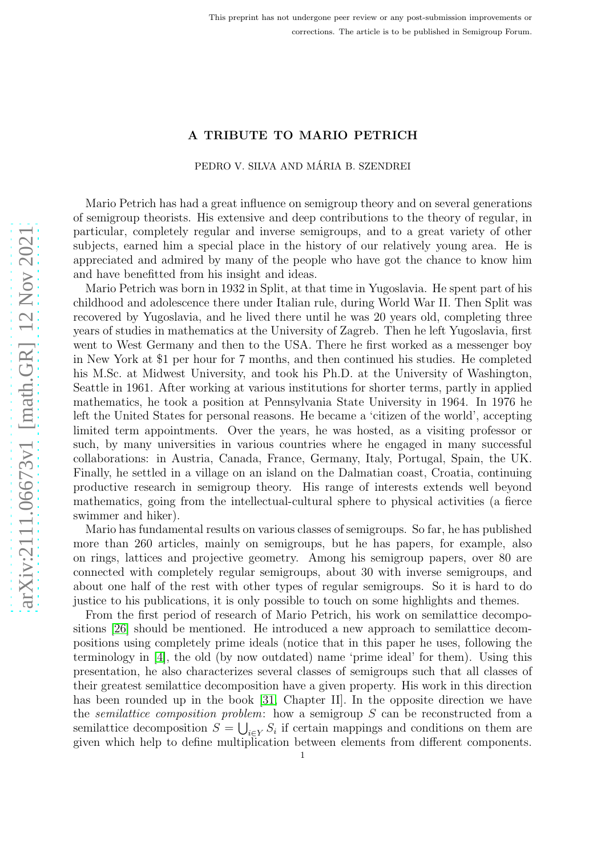# A TRIBUTE TO MARIO PETRICH

# PEDRO V. SILVA AND MÁRIA B. SZENDREI

Mario Petrich has had a great influence on semigroup theory and on several generations of semigroup theorists. His extensive and deep contributions to the theory of regular, in particular, completely regular and inverse semigroups, and to a great variety of other subjects, earned him a special place in the history of our relatively young area. He is appreciated and admired by many of the people who have got the chance to know him and have benefitted from his insight and ideas.

Mario Petrich was born in 1932 in Split, at that time in Yugoslavia. He spent part of his childhood and adolescence there under Italian rule, during World War II. Then Split was recovered by Yugoslavia, and he lived there until he was 20 years old, completing three years of studies in mathematics at the University of Zagreb. Then he left Yugoslavia, first went to West Germany and then to the USA. There he first worked as a messenger boy in New York at \$1 per hour for 7 months, and then continued his studies. He completed his M.Sc. at Midwest University, and took his Ph.D. at the University of Washington, Seattle in 1961. After working at various institutions for shorter terms, partly in applied mathematics, he took a position at Pennsylvania State University in 1964. In 1976 he left the United States for personal reasons. He became a 'citizen of the world', accepting limited term appointments. Over the years, he was hosted, as a visiting professor or such, by many universities in various countries where he engaged in many successful collaborations: in Austria, Canada, France, Germany, Italy, Portugal, Spain, the UK. Finally, he settled in a village on an island on the Dalmatian coast, Croatia, continuing productive research in semigroup theory. His range of interests extends well beyond mathematics, going from the intellectual-cultural sphere to physical activities (a fierce swimmer and hiker).

Mario has fundamental results on various classes of semigroups. So far, he has published more than 260 articles, mainly on semigroups, but he has papers, for example, also on rings, lattices and projective geometry. Among his semigroup papers, over 80 are connected with completely regular semigroups, about 30 with inverse semigroups, and about one half of the rest with other types of regular semigroups. So it is hard to do justice to his publications, it is only possible to touch on some highlights and themes.

From the first period of research of Mario Petrich, his work on semilattice decompositions [\[26\]](#page-6-0) should be mentioned. He introduced a new approach to semilattice decompositions using completely prime ideals (notice that in this paper he uses, following the terminology in [\[4\]](#page-5-0), the old (by now outdated) name 'prime ideal' for them). Using this presentation, he also characterizes several classes of semigroups such that all classes of their greatest semilattice decomposition have a given property. His work in this direction has been rounded up in the book [\[31,](#page-6-1) Chapter II]. In the opposite direction we have the *semilattice composition problem*: how a semigroup  $S$  can be reconstructed from a semilattice decomposition  $S = \bigcup_{i \in Y} S_i$  if certain mappings and conditions on them are given which help to define multiplication between elements from different components.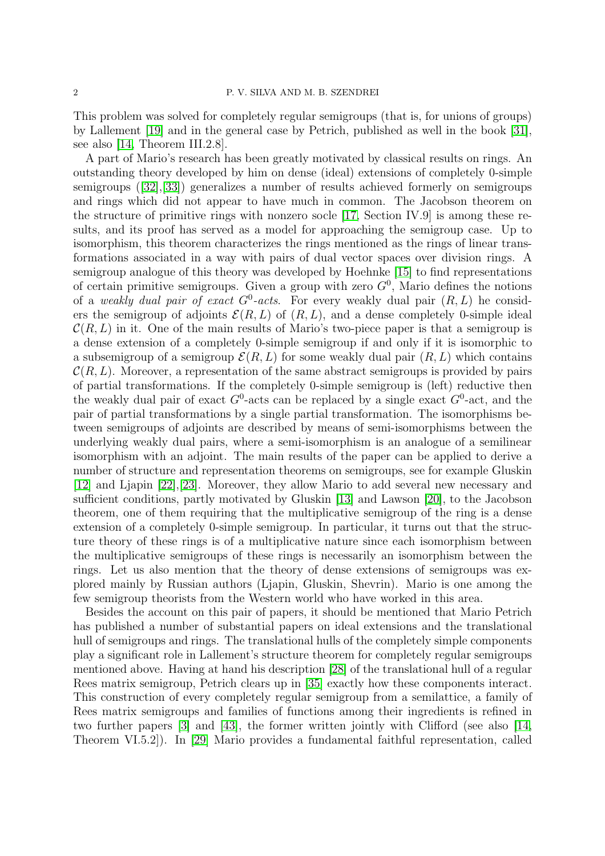This problem was solved for completely regular semigroups (that is, for unions of groups) by Lallement [\[19\]](#page-6-2) and in the general case by Petrich, published as well in the book [\[31\]](#page-6-1), see also [\[14,](#page-6-3) Theorem III.2.8].

A part of Mario's research has been greatly motivated by classical results on rings. An outstanding theory developed by him on dense (ideal) extensions of completely 0-simple semigroups([\[32\]](#page-6-4),[\[33\]](#page-6-5)) generalizes a number of results achieved formerly on semigroups and rings which did not appear to have much in common. The Jacobson theorem on the structure of primitive rings with nonzero socle [\[17,](#page-6-6) Section IV.9] is among these results, and its proof has served as a model for approaching the semigroup case. Up to isomorphism, this theorem characterizes the rings mentioned as the rings of linear transformations associated in a way with pairs of dual vector spaces over division rings. A semigroup analogue of this theory was developed by Hoehnke [\[15\]](#page-6-7) to find representations of certain primitive semigroups. Given a group with zero  $G^0$ , Mario defines the notions of a weakly dual pair of exact  $G^0$ -acts. For every weakly dual pair  $(R, L)$  he considers the semigroup of adjoints  $\mathcal{E}(R, L)$  of  $(R, L)$ , and a dense completely 0-simple ideal  $\mathcal{C}(R, L)$  in it. One of the main results of Mario's two-piece paper is that a semigroup is a dense extension of a completely 0-simple semigroup if and only if it is isomorphic to a subsemigroup of a semigroup  $\mathcal{E}(R, L)$  for some weakly dual pair  $(R, L)$  which contains  $\mathcal{C}(R,L)$ . Moreover, a representation of the same abstract semigroups is provided by pairs of partial transformations. If the completely 0-simple semigroup is (left) reductive then the weakly dual pair of exact  $G^0$ -acts can be replaced by a single exact  $G^0$ -act, and the pair of partial transformations by a single partial transformation. The isomorphisms between semigroups of adjoints are described by means of semi-isomorphisms between the underlying weakly dual pairs, where a semi-isomorphism is an analogue of a semilinear isomorphism with an adjoint. The main results of the paper can be applied to derive a number of structure and representation theorems on semigroups, see for example Gluskin [\[12\]](#page-6-8) and Ljapin [\[22\]](#page-6-9),[\[23\]](#page-6-10). Moreover, they allow Mario to add several new necessary and sufficient conditions, partly motivated by Gluskin [\[13\]](#page-6-11) and Lawson [\[20\]](#page-6-12), to the Jacobson theorem, one of them requiring that the multiplicative semigroup of the ring is a dense extension of a completely 0-simple semigroup. In particular, it turns out that the structure theory of these rings is of a multiplicative nature since each isomorphism between the multiplicative semigroups of these rings is necessarily an isomorphism between the rings. Let us also mention that the theory of dense extensions of semigroups was explored mainly by Russian authors (Ljapin, Gluskin, Shevrin). Mario is one among the few semigroup theorists from the Western world who have worked in this area.

Besides the account on this pair of papers, it should be mentioned that Mario Petrich has published a number of substantial papers on ideal extensions and the translational hull of semigroups and rings. The translational hulls of the completely simple components play a significant role in Lallement's structure theorem for completely regular semigroups mentioned above. Having at hand his description [\[28\]](#page-6-13) of the translational hull of a regular Rees matrix semigroup, Petrich clears up in [\[35\]](#page-6-14) exactly how these components interact. This construction of every completely regular semigroup from a semilattice, a family of Rees matrix semigroups and families of functions among their ingredients is refined in two further papers [\[3\]](#page-5-1) and [\[43\]](#page-7-0), the former written jointly with Clifford (see also [\[14,](#page-6-3) Theorem VI.5.2]). In [\[29\]](#page-6-15) Mario provides a fundamental faithful representation, called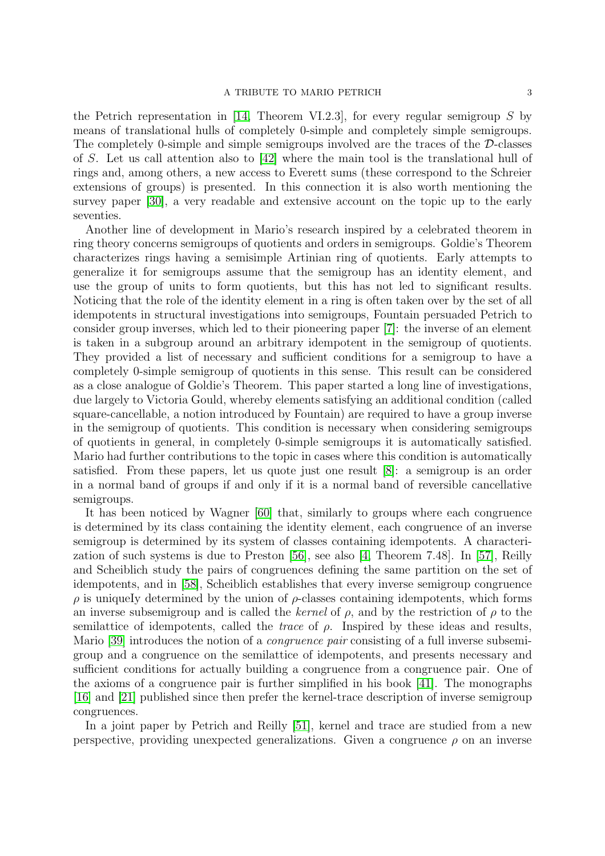### A TRIBUTE TO MARIO PETRICH 3

the Petrich representation in [\[14,](#page-6-3) Theorem VI.2.3], for every regular semigroup  $S$  by means of translational hulls of completely 0-simple and completely simple semigroups. The completely 0-simple and simple semigroups involved are the traces of the D-classes of S. Let us call attention also to [\[42\]](#page-7-1) where the main tool is the translational hull of rings and, among others, a new access to Everett sums (these correspond to the Schreier extensions of groups) is presented. In this connection it is also worth mentioning the survey paper [\[30\]](#page-6-16), a very readable and extensive account on the topic up to the early seventies.

Another line of development in Mario's research inspired by a celebrated theorem in ring theory concerns semigroups of quotients and orders in semigroups. Goldie's Theorem characterizes rings having a semisimple Artinian ring of quotients. Early attempts to generalize it for semigroups assume that the semigroup has an identity element, and use the group of units to form quotients, but this has not led to significant results. Noticing that the role of the identity element in a ring is often taken over by the set of all idempotents in structural investigations into semigroups, Fountain persuaded Petrich to consider group inverses, which led to their pioneering paper [\[7\]](#page-5-2): the inverse of an element is taken in a subgroup around an arbitrary idempotent in the semigroup of quotients. They provided a list of necessary and sufficient conditions for a semigroup to have a completely 0-simple semigroup of quotients in this sense. This result can be considered as a close analogue of Goldie's Theorem. This paper started a long line of investigations, due largely to Victoria Gould, whereby elements satisfying an additional condition (called square-cancellable, a notion introduced by Fountain) are required to have a group inverse in the semigroup of quotients. This condition is necessary when considering semigroups of quotients in general, in completely 0-simple semigroups it is automatically satisfied. Mario had further contributions to the topic in cases where this condition is automatically satisfied. From these papers, let us quote just one result [\[8\]](#page-6-17): a semigroup is an order in a normal band of groups if and only if it is a normal band of reversible cancellative semigroups.

It has been noticed by Wagner [\[60\]](#page-7-2) that, similarly to groups where each congruence is determined by its class containing the identity element, each congruence of an inverse semigroup is determined by its system of classes containing idempotents. A characterization of such systems is due to Preston [\[56\]](#page-7-3), see also [\[4,](#page-5-0) Theorem 7.48]. In [\[57\]](#page-7-4), Reilly and Scheiblich study the pairs of congruences defining the same partition on the set of idempotents, and in [\[58\]](#page-7-5), Scheiblich establishes that every inverse semigroup congruence  $\rho$  is uniquely determined by the union of  $\rho$ -classes containing idempotents, which forms an inverse subsemigroup and is called the kernel of  $\rho$ , and by the restriction of  $\rho$  to the semilattice of idempotents, called the *trace* of  $\rho$ . Inspired by these ideas and results, Mario [\[39\]](#page-7-6) introduces the notion of a congruence pair consisting of a full inverse subsemigroup and a congruence on the semilattice of idempotents, and presents necessary and sufficient conditions for actually building a congruence from a congruence pair. One of the axioms of a congruence pair is further simplified in his book [\[41\]](#page-7-7). The monographs [\[16\]](#page-6-18) and [\[21\]](#page-6-19) published since then prefer the kernel-trace description of inverse semigroup congruences.

In a joint paper by Petrich and Reilly [\[51\]](#page-7-8), kernel and trace are studied from a new perspective, providing unexpected generalizations. Given a congruence  $\rho$  on an inverse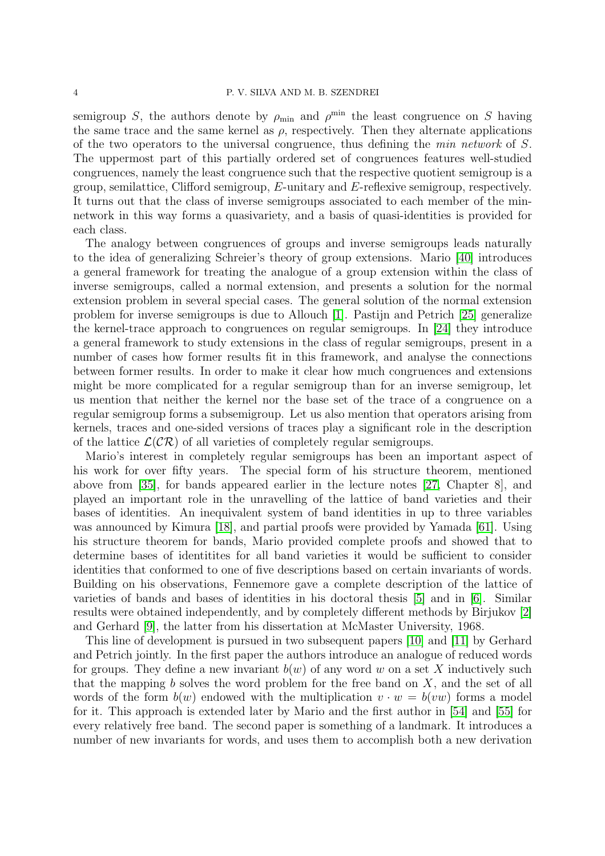semigroup S, the authors denote by  $\rho_{\min}$  and  $\rho^{\min}$  the least congruence on S having the same trace and the same kernel as  $\rho$ , respectively. Then they alternate applications of the two operators to the universal congruence, thus defining the min network of S. The uppermost part of this partially ordered set of congruences features well-studied congruences, namely the least congruence such that the respective quotient semigroup is a group, semilattice, Clifford semigroup, E-unitary and E-reflexive semigroup, respectively. It turns out that the class of inverse semigroups associated to each member of the minnetwork in this way forms a quasivariety, and a basis of quasi-identities is provided for each class.

The analogy between congruences of groups and inverse semigroups leads naturally to the idea of generalizing Schreier's theory of group extensions. Mario [\[40\]](#page-7-9) introduces a general framework for treating the analogue of a group extension within the class of inverse semigroups, called a normal extension, and presents a solution for the normal extension problem in several special cases. The general solution of the normal extension problem for inverse semigroups is due to Allouch [\[1\]](#page-5-3). Pastijn and Petrich [\[25\]](#page-6-20) generalize the kernel-trace approach to congruences on regular semigroups. In [\[24\]](#page-6-21) they introduce a general framework to study extensions in the class of regular semigroups, present in a number of cases how former results fit in this framework, and analyse the connections between former results. In order to make it clear how much congruences and extensions might be more complicated for a regular semigroup than for an inverse semigroup, let us mention that neither the kernel nor the base set of the trace of a congruence on a regular semigroup forms a subsemigroup. Let us also mention that operators arising from kernels, traces and one-sided versions of traces play a significant role in the description of the lattice  $\mathcal{L}(\mathcal{CR})$  of all varieties of completely regular semigroups.

Mario's interest in completely regular semigroups has been an important aspect of his work for over fifty years. The special form of his structure theorem, mentioned above from [\[35\]](#page-6-14), for bands appeared earlier in the lecture notes [\[27,](#page-6-22) Chapter 8], and played an important role in the unravelling of the lattice of band varieties and their bases of identities. An inequivalent system of band identities in up to three variables was announced by Kimura [\[18\]](#page-6-23), and partial proofs were provided by Yamada [\[61\]](#page-7-10). Using his structure theorem for bands, Mario provided complete proofs and showed that to determine bases of identitites for all band varieties it would be sufficient to consider identities that conformed to one of five descriptions based on certain invariants of words. Building on his observations, Fennemore gave a complete description of the lattice of varieties of bands and bases of identities in his doctoral thesis [\[5\]](#page-5-4) and in [\[6\]](#page-5-5). Similar results were obtained independently, and by completely different methods by Birjukov [\[2\]](#page-5-6) and Gerhard [\[9\]](#page-6-24), the latter from his dissertation at McMaster University, 1968.

This line of development is pursued in two subsequent papers [\[10\]](#page-6-25) and [\[11\]](#page-6-26) by Gerhard and Petrich jointly. In the first paper the authors introduce an analogue of reduced words for groups. They define a new invariant  $b(w)$  of any word w on a set X inductively such that the mapping  $b$  solves the word problem for the free band on  $X$ , and the set of all words of the form  $b(w)$  endowed with the multiplication  $v \cdot w = b(vw)$  forms a model for it. This approach is extended later by Mario and the first author in [\[54\]](#page-7-11) and [\[55\]](#page-7-12) for every relatively free band. The second paper is something of a landmark. It introduces a number of new invariants for words, and uses them to accomplish both a new derivation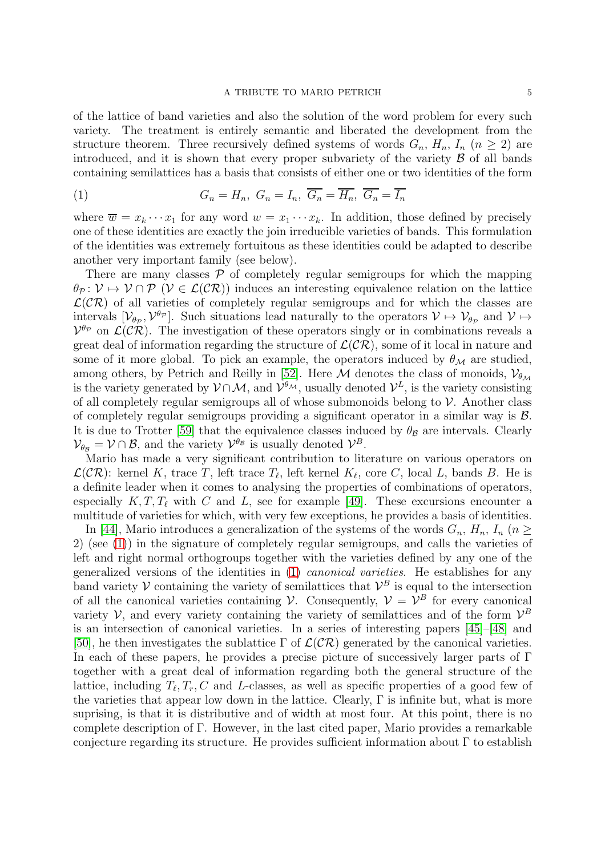of the lattice of band varieties and also the solution of the word problem for every such variety. The treatment is entirely semantic and liberated the development from the structure theorem. Three recursively defined systems of words  $G_n$ ,  $H_n$ ,  $I_n$  ( $n \geq 2$ ) are introduced, and it is shown that every proper subvariety of the variety  $\beta$  of all bands containing semilattices has a basis that consists of either one or two identities of the form

<span id="page-4-0"></span>(1) 
$$
G_n = H_n, \ G_n = I_n, \ \overline{G_n} = \overline{H_n}, \ \overline{G_n} = \overline{I_n}
$$

where  $\overline{w} = x_k \cdots x_1$  for any word  $w = x_1 \cdots x_k$ . In addition, those defined by precisely one of these identities are exactly the join irreducible varieties of bands. This formulation of the identities was extremely fortuitous as these identities could be adapted to describe another very important family (see below).

There are many classes  $P$  of completely regular semigroups for which the mapping  $\theta_{\mathcal{P}}: \mathcal{V} \mapsto \mathcal{V} \cap \mathcal{P}$  ( $\mathcal{V} \in \mathcal{L}(\mathcal{CR})$ ) induces an interesting equivalence relation on the lattice  $\mathcal{L}(\mathcal{CR})$  of all varieties of completely regular semigroups and for which the classes are intervals  $[\mathcal{V}_{\theta_{\mathcal{P}}}, \mathcal{V}^{\theta_{\mathcal{P}}}]$ . Such situations lead naturally to the operators  $\mathcal{V} \mapsto \mathcal{V}_{\theta_{\mathcal{P}}}$  and  $\mathcal{V} \mapsto$  $V^{\theta_{\mathcal{P}}}$  on  $\mathcal{L}(\mathcal{CR})$ . The investigation of these operators singly or in combinations reveals a great deal of information regarding the structure of  $\mathcal{L}(\mathcal{CR})$ , some of it local in nature and some of it more global. To pick an example, the operators induced by  $\theta_{\mathcal{M}}$  are studied, among others, by Petrich and Reilly in [\[52\]](#page-7-13). Here  $\mathcal M$  denotes the class of monoids,  $\mathcal V_{\theta_M}$ is the variety generated by  $\mathcal{V} \cap \mathcal{M}$ , and  $\mathcal{V}^{\theta_{\mathcal{M}}}$ , usually denoted  $\mathcal{V}^L$ , is the variety consisting of all completely regular semigroups all of whose submonoids belong to  $\mathcal V$ . Another class of completely regular semigroups providing a significant operator in a similar way is  $\mathcal{B}$ . It is due to Trotter [\[59\]](#page-7-14) that the equivalence classes induced by  $\theta_B$  are intervals. Clearly  $\mathcal{V}_{\theta_{\mathcal{B}}} = \mathcal{V} \cap \mathcal{B}$ , and the variety  $\mathcal{V}^{\theta_{\mathcal{B}}}$  is usually denoted  $\mathcal{V}^{\mathcal{B}}$ .

Mario has made a very significant contribution to literature on various operators on  $\mathcal{L}(\mathcal{CR})$ : kernel K, trace T, left trace  $T_{\ell}$ , left kernel  $K_{\ell}$ , core C, local L, bands B. He is a definite leader when it comes to analysing the properties of combinations of operators, especially  $K, T, T_\ell$  with C and L, see for example [\[49\]](#page-7-15). These excursions encounter a multitude of varieties for which, with very few exceptions, he provides a basis of identities.

In [\[44\]](#page-7-16), Mario introduces a generalization of the systems of the words  $G_n$ ,  $H_n$ ,  $I_n$  ( $n >$ 2) (see [\(1\)](#page-4-0)) in the signature of completely regular semigroups, and calls the varieties of left and right normal orthogroups together with the varieties defined by any one of the generalized versions of the identities in [\(1\)](#page-4-0) canonical varieties. He establishes for any band variety V containing the variety of semilattices that  $\mathcal{V}^B$  is equal to the intersection of all the canonical varieties containing V. Consequently,  $V = V^B$  for every canonical variety  $\mathcal V$ , and every variety containing the variety of semilattices and of the form  $\mathcal V^B$ is an intersection of canonical varieties. In a series of interesting papers [\[45\]](#page-7-17)–[\[48\]](#page-7-18) and [\[50\]](#page-7-19), he then investigates the sublattice  $\Gamma$  of  $\mathcal{L}(\mathcal{CR})$  generated by the canonical varieties. In each of these papers, he provides a precise picture of successively larger parts of Γ together with a great deal of information regarding both the general structure of the lattice, including  $T_{\ell}, T_{r}, C$  and L-classes, as well as specific properties of a good few of the varieties that appear low down in the lattice. Clearly,  $\Gamma$  is infinite but, what is more suprising, is that it is distributive and of width at most four. At this point, there is no complete description of Γ. However, in the last cited paper, Mario provides a remarkable conjecture regarding its structure. He provides sufficient information about  $\Gamma$  to establish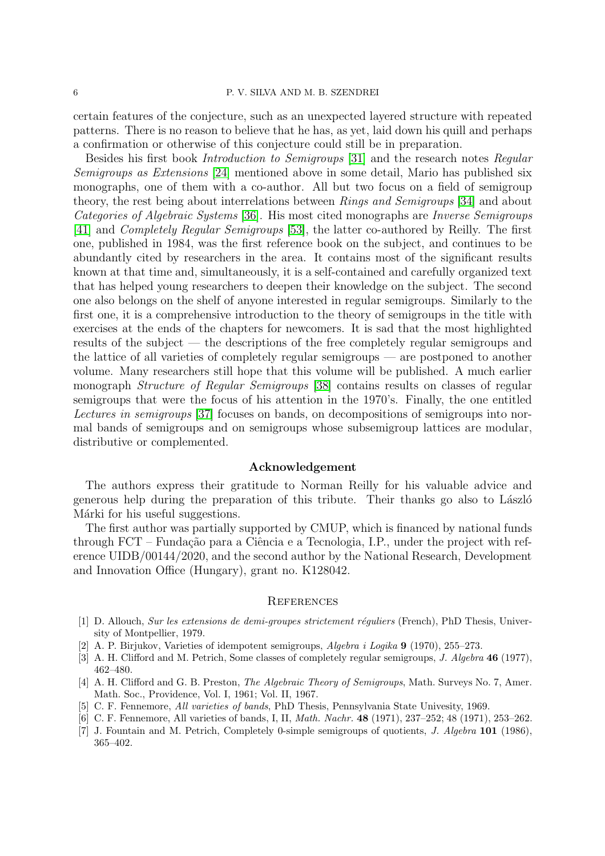## 6 P. V. SILVA AND M. B. SZENDREI

certain features of the conjecture, such as an unexpected layered structure with repeated patterns. There is no reason to believe that he has, as yet, laid down his quill and perhaps a confirmation or otherwise of this conjecture could still be in preparation.

Besides his first book Introduction to Semigroups [\[31\]](#page-6-1) and the research notes Regular Semigroups as Extensions [\[24\]](#page-6-21) mentioned above in some detail, Mario has published six monographs, one of them with a co-author. All but two focus on a field of semigroup theory, the rest being about interrelations between Rings and Semigroups [\[34\]](#page-6-27) and about Categories of Algebraic Systems [\[36\]](#page-6-28). His most cited monographs are Inverse Semigroups [\[41\]](#page-7-7) and Completely Regular Semigroups [\[53\]](#page-7-20), the latter co-authored by Reilly. The first one, published in 1984, was the first reference book on the subject, and continues to be abundantly cited by researchers in the area. It contains most of the significant results known at that time and, simultaneously, it is a self-contained and carefully organized text that has helped young researchers to deepen their knowledge on the subject. The second one also belongs on the shelf of anyone interested in regular semigroups. Similarly to the first one, it is a comprehensive introduction to the theory of semigroups in the title with exercises at the ends of the chapters for newcomers. It is sad that the most highlighted results of the subject — the descriptions of the free completely regular semigroups and the lattice of all varieties of completely regular semigroups — are postponed to another volume. Many researchers still hope that this volume will be published. A much earlier monograph Structure of Regular Semigroups [\[38\]](#page-7-21) contains results on classes of regular semigroups that were the focus of his attention in the 1970's. Finally, the one entitled Lectures in semigroups [\[37\]](#page-6-29) focuses on bands, on decompositions of semigroups into normal bands of semigroups and on semigroups whose subsemigroup lattices are modular, distributive or complemented.

# Acknowledgement

The authors express their gratitude to Norman Reilly for his valuable advice and generous help during the preparation of this tribute. Their thanks go also to László Márki for his useful suggestions.

The first author was partially supported by CMUP, which is financed by national funds through  $FCT$  – Fundação para a Ciência e a Tecnologia, I.P., under the project with reference UIDB/00144/2020, and the second author by the National Research, Development and Innovation Office (Hungary), grant no. K128042.

### **REFERENCES**

- <span id="page-5-3"></span>[1] D. Allouch, *Sur les extensions de demi-groupes strictement réguliers* (French), PhD Thesis, University of Montpellier, 1979.
- <span id="page-5-6"></span><span id="page-5-1"></span>[2] A. P. Birjukov, Varieties of idempotent semigroups, *Algebra i Logika* 9 (1970), 255–273.
- <span id="page-5-0"></span>[3] A. H. Clifford and M. Petrich, Some classes of completely regular semigroups, *J. Algebra* 46 (1977), 462–480.
- [4] A. H. Clifford and G. B. Preston, *The Algebraic Theory of Semigroups*, Math. Surveys No. 7, Amer. Math. Soc., Providence, Vol. I, 1961; Vol. II, 1967.
- <span id="page-5-5"></span><span id="page-5-4"></span>[5] C. F. Fennemore, *All varieties of bands*, PhD Thesis, Pennsylvania State Univesity, 1969.
- <span id="page-5-2"></span>[6] C. F. Fennemore, All varieties of bands, I, II, *Math. Nachr.* 48 (1971), 237–252; 48 (1971), 253–262.
- [7] J. Fountain and M. Petrich, Completely 0-simple semigroups of quotients, *J. Algebra* 101 (1986), 365–402.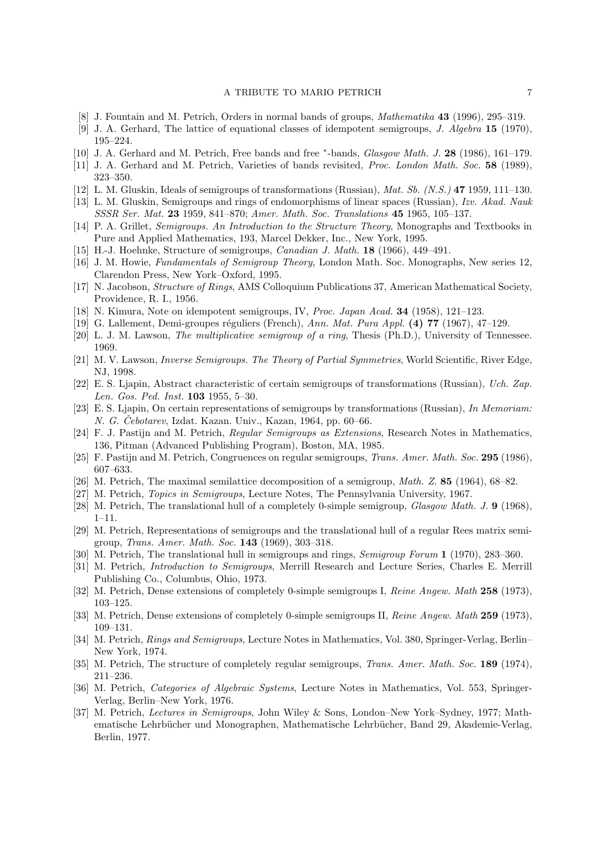- <span id="page-6-24"></span><span id="page-6-17"></span>[8] J. Fountain and M. Petrich, Orders in normal bands of groups, *Mathematika* 43 (1996), 295–319.
- <span id="page-6-25"></span>[9] J. A. Gerhard, The lattice of equational classes of idempotent semigroups, *J. Algebra* 15 (1970), 195–224.
- <span id="page-6-26"></span>[10] J. A. Gerhard and M. Petrich, Free bands and free <sup>∗</sup> -bands, *Glasgow Math. J.* 28 (1986), 161–179.
- <span id="page-6-8"></span>[11] J. A. Gerhard and M. Petrich, Varieties of bands revisited, *Proc. London Math. Soc.* 58 (1989), 323–350.
- <span id="page-6-11"></span>[12] L. M. Gluskin, Ideals of semigroups of transformations (Russian), *Mat. Sb. (N.S.)* 47 1959, 111–130.
- <span id="page-6-3"></span>[13] L. M. Gluskin, Semigroups and rings of endomorphisms of linear spaces (Russian), *Izv. Akad. Nauk SSSR Ser. Mat.* 23 1959, 841–870; *Amer. Math. Soc. Translations* 45 1965, 105–137.
- <span id="page-6-7"></span>[14] P. A. Grillet, *Semigroups. An Introduction to the Structure Theory*, Monographs and Textbooks in Pure and Applied Mathematics, 193, Marcel Dekker, Inc., New York, 1995.
- <span id="page-6-18"></span>[15] H.-J. Hoehnke, Structure of semigroups, *Canadian J. Math.* 18 (1966), 449–491.
- <span id="page-6-6"></span>[16] J. M. Howie, *Fundamentals of Semigroup Theory*, London Math. Soc. Monographs, New series 12, Clarendon Press, New York–Oxford, 1995.
- <span id="page-6-23"></span>[17] N. Jacobson, *Structure of Rings*, AMS Colloquium Publications 37, American Mathematical Society, Providence, R. I., 1956.
- <span id="page-6-2"></span>[18] N. Kimura, Note on idempotent semigroups, IV, *Proc. Japan Acad.* 34 (1958), 121–123.
- <span id="page-6-12"></span>[19] G. Lallement, Demi-groupes r´eguliers (French), *Ann. Mat. Pura Appl.* (4) 77 (1967), 47–129.
- <span id="page-6-19"></span>[20] L. J. M. Lawson, *The multiplicative semigroup of a ring*, Thesis (Ph.D.), University of Tennessee. 1969.
- [21] M. V. Lawson, *Inverse Semigroups. The Theory of Partial Symmetries*, World Scientific, River Edge, NJ, 1998.
- <span id="page-6-9"></span>[22] E. S. Ljapin, Abstract characteristic of certain semigroups of transformations (Russian), *Uch. Zap. Len. Gos. Ped. Inst.* 103 1955, 5–30.
- <span id="page-6-10"></span>[23] E. S. Ljapin, On certain representations of semigroups by transformations (Russian), *In Memoriam: N. G. Cebotarev*, Izdat. Kazan. Univ., Kazan, 1964, pp. 60–66.
- <span id="page-6-21"></span>[24] F. J. Pastijn and M. Petrich, *Regular Semigroups as Extensions*, Research Notes in Mathematics, 136, Pitman (Advanced Publishing Program), Boston, MA, 1985.
- <span id="page-6-20"></span><span id="page-6-0"></span>[25] F. Pastijn and M. Petrich, Congruences on regular semigroups, *Trans. Amer. Math. Soc.* 295 (1986), 607–633.
- <span id="page-6-22"></span>[26] M. Petrich, The maximal semilattice decomposition of a semigroup, *Math. Z.* 85 (1964), 68–82.
- <span id="page-6-13"></span>[27] M. Petrich, *Topics in Semigroups*, Lecture Notes, The Pennsylvania University, 1967.
- <span id="page-6-15"></span>[28] M. Petrich, The translational hull of a completely 0-simple semigroup, *Glasgow Math. J.* 9 (1968), 1–11.
- [29] M. Petrich, Representations of semigroups and the translational hull of a regular Rees matrix semigroup, *Trans. Amer. Math. Soc.* 143 (1969), 303–318.
- <span id="page-6-16"></span><span id="page-6-1"></span>[30] M. Petrich, The translational hull in semigroups and rings, *Semigroup Forum* 1 (1970), 283–360.
- [31] M. Petrich, *Introduction to Semigroups*, Merrill Research and Lecture Series, Charles E. Merrill Publishing Co., Columbus, Ohio, 1973.
- <span id="page-6-5"></span><span id="page-6-4"></span>[32] M. Petrich, Dense extensions of completely 0-simple semigroups I, *Reine Angew. Math* 258 (1973), 103–125.
- <span id="page-6-27"></span>[33] M. Petrich, Dense extensions of completely 0-simple semigroups II, *Reine Angew. Math* 259 (1973), 109–131.
- [34] M. Petrich, *Rings and Semigroups*, Lecture Notes in Mathematics, Vol. 380, Springer-Verlag, Berlin– New York, 1974.
- <span id="page-6-14"></span>[35] M. Petrich, The structure of completely regular semigroups, *Trans. Amer. Math. Soc.* 189 (1974), 211–236.
- <span id="page-6-28"></span>[36] M. Petrich, *Categories of Algebraic Systems*, Lecture Notes in Mathematics, Vol. 553, Springer-Verlag, Berlin–New York, 1976.
- <span id="page-6-29"></span>[37] M. Petrich, *Lectures in Semigroups*, John Wiley & Sons, London–New York–Sydney, 1977; Mathematische Lehrbücher und Monographen, Mathematische Lehrbücher, Band 29, Akademie-Verlag, Berlin, 1977.